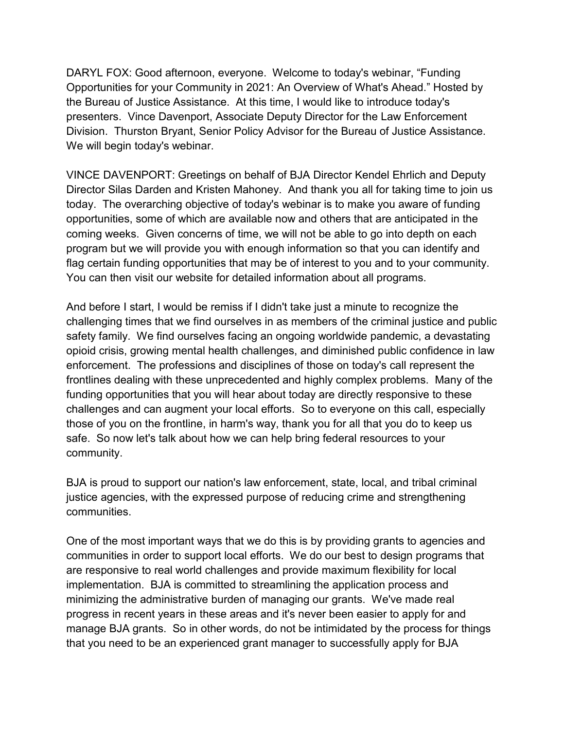DARYL FOX: Good afternoon, everyone. Welcome to today's webinar, "Funding Opportunities for your Community in 2021: An Overview of What's Ahead." Hosted by the Bureau of Justice Assistance. At this time, I would like to introduce today's presenters. Vince Davenport, Associate Deputy Director for the Law Enforcement Division. Thurston Bryant, Senior Policy Advisor for the Bureau of Justice Assistance. We will begin today's webinar.

VINCE DAVENPORT: Greetings on behalf of BJA Director Kendel Ehrlich and Deputy Director Silas Darden and Kristen Mahoney. And thank you all for taking time to join us today. The overarching objective of today's webinar is to make you aware of funding opportunities, some of which are available now and others that are anticipated in the coming weeks. Given concerns of time, we will not be able to go into depth on each program but we will provide you with enough information so that you can identify and flag certain funding opportunities that may be of interest to you and to your community. You can then visit our website for detailed information about all programs.

And before I start, I would be remiss if I didn't take just a minute to recognize the challenging times that we find ourselves in as members of the criminal justice and public safety family. We find ourselves facing an ongoing worldwide pandemic, a devastating opioid crisis, growing mental health challenges, and diminished public confidence in law enforcement. The professions and disciplines of those on today's call represent the frontlines dealing with these unprecedented and highly complex problems. Many of the funding opportunities that you will hear about today are directly responsive to these challenges and can augment your local efforts. So to everyone on this call, especially those of you on the frontline, in harm's way, thank you for all that you do to keep us safe. So now let's talk about how we can help bring federal resources to your community.

BJA is proud to support our nation's law enforcement, state, local, and tribal criminal justice agencies, with the expressed purpose of reducing crime and strengthening communities.

One of the most important ways that we do this is by providing grants to agencies and communities in order to support local efforts. We do our best to design programs that are responsive to real world challenges and provide maximum flexibility for local implementation. BJA is committed to streamlining the application process and minimizing the administrative burden of managing our grants. We've made real progress in recent years in these areas and it's never been easier to apply for and manage BJA grants. So in other words, do not be intimidated by the process for things that you need to be an experienced grant manager to successfully apply for BJA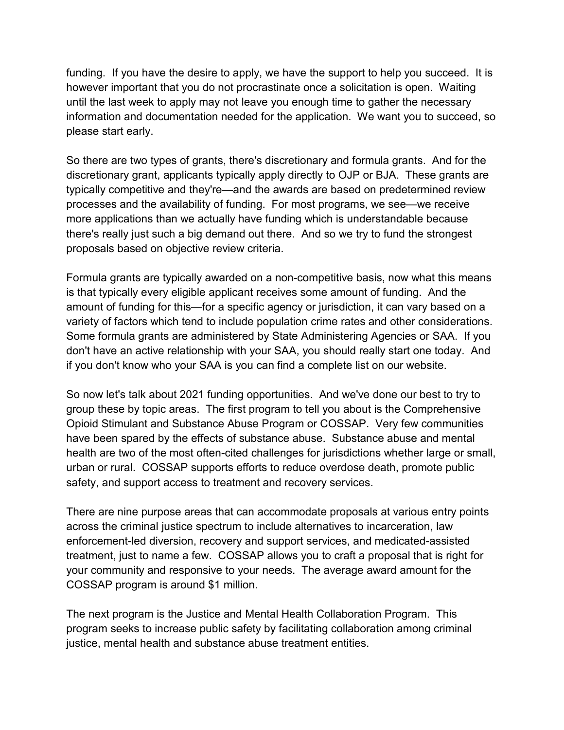funding. If you have the desire to apply, we have the support to help you succeed. It is however important that you do not procrastinate once a solicitation is open. Waiting until the last week to apply may not leave you enough time to gather the necessary information and documentation needed for the application. We want you to succeed, so please start early.

So there are two types of grants, there's discretionary and formula grants. And for the discretionary grant, applicants typically apply directly to OJP or BJA. These grants are typically competitive and they're—and the awards are based on predetermined review processes and the availability of funding. For most programs, we see—we receive more applications than we actually have funding which is understandable because there's really just such a big demand out there. And so we try to fund the strongest proposals based on objective review criteria.

Formula grants are typically awarded on a non-competitive basis, now what this means is that typically every eligible applicant receives some amount of funding. And the amount of funding for this—for a specific agency or jurisdiction, it can vary based on a variety of factors which tend to include population crime rates and other considerations. Some formula grants are administered by State Administering Agencies or SAA. If you don't have an active relationship with your SAA, you should really start one today. And if you don't know who your SAA is you can find a complete list on our website.

So now let's talk about 2021 funding opportunities. And we've done our best to try to group these by topic areas. The first program to tell you about is the Comprehensive Opioid Stimulant and Substance Abuse Program or COSSAP. Very few communities have been spared by the effects of substance abuse. Substance abuse and mental health are two of the most often-cited challenges for jurisdictions whether large or small, urban or rural. COSSAP supports efforts to reduce overdose death, promote public safety, and support access to treatment and recovery services.

There are nine purpose areas that can accommodate proposals at various entry points across the criminal justice spectrum to include alternatives to incarceration, law enforcement-led diversion, recovery and support services, and medicated-assisted treatment, just to name a few. COSSAP allows you to craft a proposal that is right for your community and responsive to your needs. The average award amount for the COSSAP program is around \$1 million.

The next program is the Justice and Mental Health Collaboration Program. This program seeks to increase public safety by facilitating collaboration among criminal justice, mental health and substance abuse treatment entities.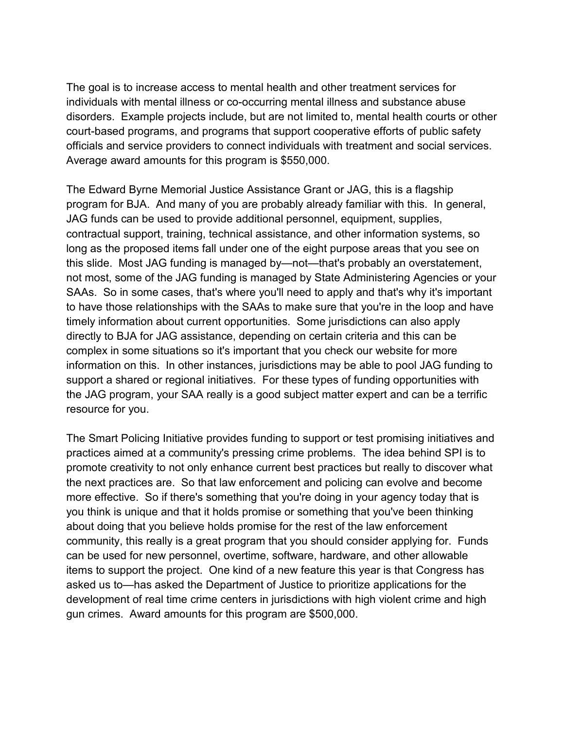The goal is to increase access to mental health and other treatment services for individuals with mental illness or co-occurring mental illness and substance abuse disorders. Example projects include, but are not limited to, mental health courts or other court-based programs, and programs that support cooperative efforts of public safety officials and service providers to connect individuals with treatment and social services. Average award amounts for this program is \$550,000.

The Edward Byrne Memorial Justice Assistance Grant or JAG, this is a flagship program for BJA. And many of you are probably already familiar with this. In general, JAG funds can be used to provide additional personnel, equipment, supplies, contractual support, training, technical assistance, and other information systems, so long as the proposed items fall under one of the eight purpose areas that you see on this slide. Most JAG funding is managed by—not—that's probably an overstatement, not most, some of the JAG funding is managed by State Administering Agencies or your SAAs. So in some cases, that's where you'll need to apply and that's why it's important to have those relationships with the SAAs to make sure that you're in the loop and have timely information about current opportunities. Some jurisdictions can also apply directly to BJA for JAG assistance, depending on certain criteria and this can be complex in some situations so it's important that you check our website for more information on this. In other instances, jurisdictions may be able to pool JAG funding to support a shared or regional initiatives. For these types of funding opportunities with the JAG program, your SAA really is a good subject matter expert and can be a terrific resource for you.

The Smart Policing Initiative provides funding to support or test promising initiatives and practices aimed at a community's pressing crime problems. The idea behind SPI is to promote creativity to not only enhance current best practices but really to discover what the next practices are. So that law enforcement and policing can evolve and become more effective. So if there's something that you're doing in your agency today that is you think is unique and that it holds promise or something that you've been thinking about doing that you believe holds promise for the rest of the law enforcement community, this really is a great program that you should consider applying for. Funds can be used for new personnel, overtime, software, hardware, and other allowable items to support the project. One kind of a new feature this year is that Congress has asked us to—has asked the Department of Justice to prioritize applications for the development of real time crime centers in jurisdictions with high violent crime and high gun crimes. Award amounts for this program are \$500,000.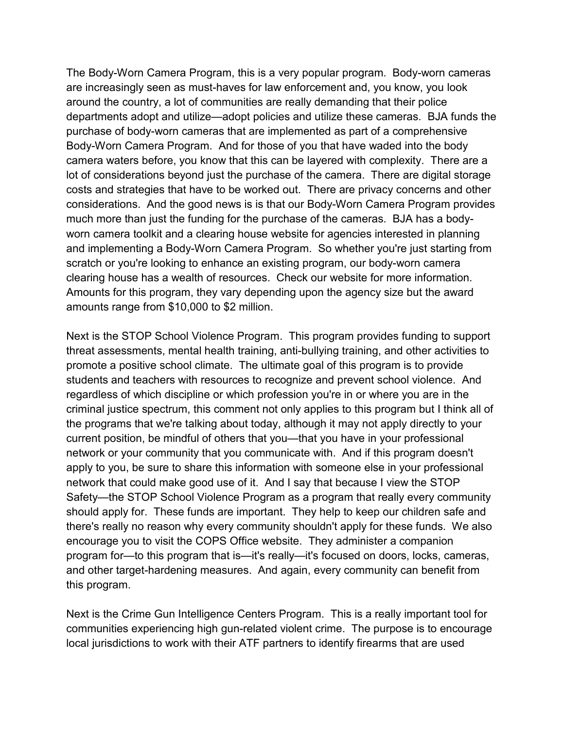The Body-Worn Camera Program, this is a very popular program. Body-worn cameras are increasingly seen as must-haves for law enforcement and, you know, you look around the country, a lot of communities are really demanding that their police departments adopt and utilize—adopt policies and utilize these cameras. BJA funds the purchase of body-worn cameras that are implemented as part of a comprehensive Body-Worn Camera Program. And for those of you that have waded into the body camera waters before, you know that this can be layered with complexity. There are a lot of considerations beyond just the purchase of the camera. There are digital storage costs and strategies that have to be worked out. There are privacy concerns and other considerations. And the good news is is that our Body-Worn Camera Program provides much more than just the funding for the purchase of the cameras. BJA has a bodyworn camera toolkit and a clearing house website for agencies interested in planning and implementing a Body-Worn Camera Program. So whether you're just starting from scratch or you're looking to enhance an existing program, our body-worn camera clearing house has a wealth of resources. Check our website for more information. Amounts for this program, they vary depending upon the agency size but the award amounts range from \$10,000 to \$2 million.

Next is the STOP School Violence Program. This program provides funding to support threat assessments, mental health training, anti-bullying training, and other activities to promote a positive school climate. The ultimate goal of this program is to provide students and teachers with resources to recognize and prevent school violence. And regardless of which discipline or which profession you're in or where you are in the criminal justice spectrum, this comment not only applies to this program but I think all of the programs that we're talking about today, although it may not apply directly to your current position, be mindful of others that you—that you have in your professional network or your community that you communicate with. And if this program doesn't apply to you, be sure to share this information with someone else in your professional network that could make good use of it. And I say that because I view the STOP Safety—the STOP School Violence Program as a program that really every community should apply for. These funds are important. They help to keep our children safe and there's really no reason why every community shouldn't apply for these funds. We also encourage you to visit the COPS Office website. They administer a companion program for—to this program that is—it's really—it's focused on doors, locks, cameras, and other target-hardening measures. And again, every community can benefit from this program.

Next is the Crime Gun Intelligence Centers Program. This is a really important tool for communities experiencing high gun-related violent crime. The purpose is to encourage local jurisdictions to work with their ATF partners to identify firearms that are used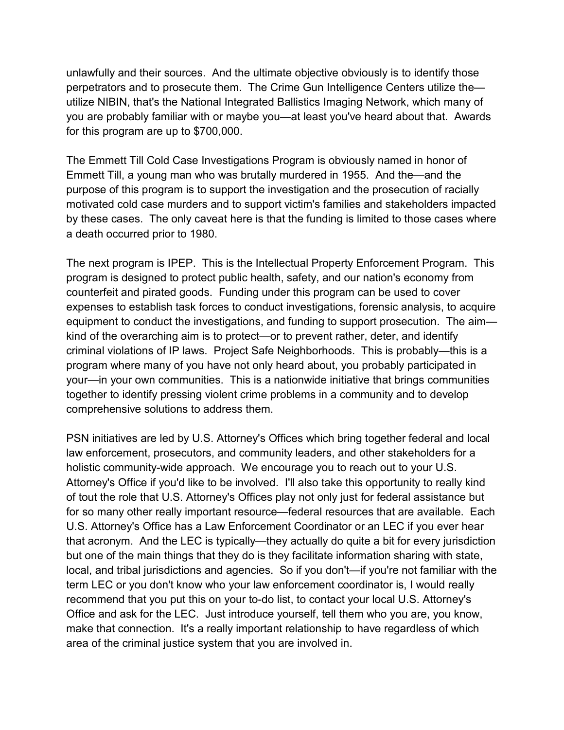unlawfully and their sources. And the ultimate objective obviously is to identify those perpetrators and to prosecute them. The Crime Gun Intelligence Centers utilize the utilize NIBIN, that's the National Integrated Ballistics Imaging Network, which many of you are probably familiar with or maybe you—at least you've heard about that. Awards for this program are up to \$700,000.

The Emmett Till Cold Case Investigations Program is obviously named in honor of Emmett Till, a young man who was brutally murdered in 1955. And the—and the purpose of this program is to support the investigation and the prosecution of racially motivated cold case murders and to support victim's families and stakeholders impacted by these cases. The only caveat here is that the funding is limited to those cases where a death occurred prior to 1980.

The next program is IPEP. This is the Intellectual Property Enforcement Program. This program is designed to protect public health, safety, and our nation's economy from counterfeit and pirated goods. Funding under this program can be used to cover expenses to establish task forces to conduct investigations, forensic analysis, to acquire equipment to conduct the investigations, and funding to support prosecution. The aim kind of the overarching aim is to protect—or to prevent rather, deter, and identify criminal violations of IP laws. Project Safe Neighborhoods. This is probably—this is a program where many of you have not only heard about, you probably participated in your—in your own communities. This is a nationwide initiative that brings communities together to identify pressing violent crime problems in a community and to develop comprehensive solutions to address them.

PSN initiatives are led by U.S. Attorney's Offices which bring together federal and local law enforcement, prosecutors, and community leaders, and other stakeholders for a holistic community-wide approach. We encourage you to reach out to your U.S. Attorney's Office if you'd like to be involved. I'll also take this opportunity to really kind of tout the role that U.S. Attorney's Offices play not only just for federal assistance but for so many other really important resource—federal resources that are available. Each U.S. Attorney's Office has a Law Enforcement Coordinator or an LEC if you ever hear that acronym. And the LEC is typically—they actually do quite a bit for every jurisdiction but one of the main things that they do is they facilitate information sharing with state, local, and tribal jurisdictions and agencies. So if you don't—if you're not familiar with the term LEC or you don't know who your law enforcement coordinator is, I would really recommend that you put this on your to-do list, to contact your local U.S. Attorney's Office and ask for the LEC. Just introduce yourself, tell them who you are, you know, make that connection. It's a really important relationship to have regardless of which area of the criminal justice system that you are involved in.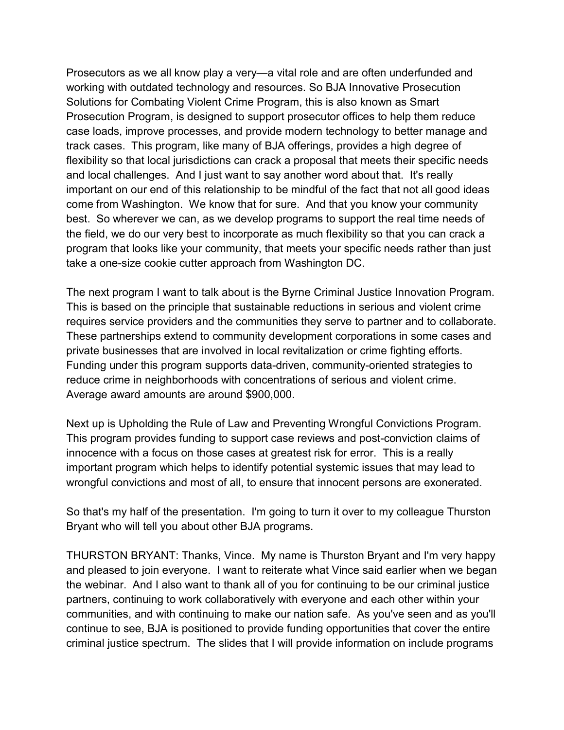Prosecutors as we all know play a very—a vital role and are often underfunded and working with outdated technology and resources. So BJA Innovative Prosecution Solutions for Combating Violent Crime Program, this is also known as Smart Prosecution Program, is designed to support prosecutor offices to help them reduce case loads, improve processes, and provide modern technology to better manage and track cases. This program, like many of BJA offerings, provides a high degree of flexibility so that local jurisdictions can crack a proposal that meets their specific needs and local challenges. And I just want to say another word about that. It's really important on our end of this relationship to be mindful of the fact that not all good ideas come from Washington. We know that for sure. And that you know your community best. So wherever we can, as we develop programs to support the real time needs of the field, we do our very best to incorporate as much flexibility so that you can crack a program that looks like your community, that meets your specific needs rather than just take a one-size cookie cutter approach from Washington DC.

The next program I want to talk about is the Byrne Criminal Justice Innovation Program. This is based on the principle that sustainable reductions in serious and violent crime requires service providers and the communities they serve to partner and to collaborate. These partnerships extend to community development corporations in some cases and private businesses that are involved in local revitalization or crime fighting efforts. Funding under this program supports data-driven, community-oriented strategies to reduce crime in neighborhoods with concentrations of serious and violent crime. Average award amounts are around \$900,000.

Next up is Upholding the Rule of Law and Preventing Wrongful Convictions Program. This program provides funding to support case reviews and post-conviction claims of innocence with a focus on those cases at greatest risk for error. This is a really important program which helps to identify potential systemic issues that may lead to wrongful convictions and most of all, to ensure that innocent persons are exonerated.

So that's my half of the presentation. I'm going to turn it over to my colleague Thurston Bryant who will tell you about other BJA programs.

THURSTON BRYANT: Thanks, Vince. My name is Thurston Bryant and I'm very happy and pleased to join everyone. I want to reiterate what Vince said earlier when we began the webinar. And I also want to thank all of you for continuing to be our criminal justice partners, continuing to work collaboratively with everyone and each other within your communities, and with continuing to make our nation safe. As you've seen and as you'll continue to see, BJA is positioned to provide funding opportunities that cover the entire criminal justice spectrum. The slides that I will provide information on include programs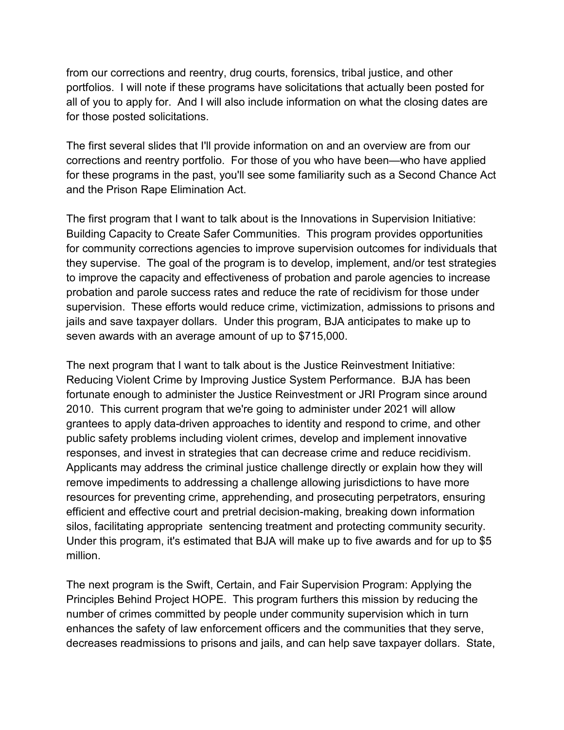from our corrections and reentry, drug courts, forensics, tribal justice, and other portfolios. I will note if these programs have solicitations that actually been posted for all of you to apply for. And I will also include information on what the closing dates are for those posted solicitations.

The first several slides that I'll provide information on and an overview are from our corrections and reentry portfolio. For those of you who have been—who have applied for these programs in the past, you'll see some familiarity such as a Second Chance Act and the Prison Rape Elimination Act.

The first program that I want to talk about is the Innovations in Supervision Initiative: Building Capacity to Create Safer Communities. This program provides opportunities for community corrections agencies to improve supervision outcomes for individuals that they supervise. The goal of the program is to develop, implement, and/or test strategies to improve the capacity and effectiveness of probation and parole agencies to increase probation and parole success rates and reduce the rate of recidivism for those under supervision. These efforts would reduce crime, victimization, admissions to prisons and jails and save taxpayer dollars. Under this program, BJA anticipates to make up to seven awards with an average amount of up to \$715,000.

The next program that I want to talk about is the Justice Reinvestment Initiative: Reducing Violent Crime by Improving Justice System Performance. BJA has been fortunate enough to administer the Justice Reinvestment or JRI Program since around 2010. This current program that we're going to administer under 2021 will allow grantees to apply data-driven approaches to identity and respond to crime, and other public safety problems including violent crimes, develop and implement innovative responses, and invest in strategies that can decrease crime and reduce recidivism. Applicants may address the criminal justice challenge directly or explain how they will remove impediments to addressing a challenge allowing jurisdictions to have more resources for preventing crime, apprehending, and prosecuting perpetrators, ensuring efficient and effective court and pretrial decision-making, breaking down information silos, facilitating appropriate sentencing treatment and protecting community security. Under this program, it's estimated that BJA will make up to five awards and for up to \$5 million.

The next program is the Swift, Certain, and Fair Supervision Program: Applying the Principles Behind Project HOPE. This program furthers this mission by reducing the number of crimes committed by people under community supervision which in turn enhances the safety of law enforcement officers and the communities that they serve, decreases readmissions to prisons and jails, and can help save taxpayer dollars. State,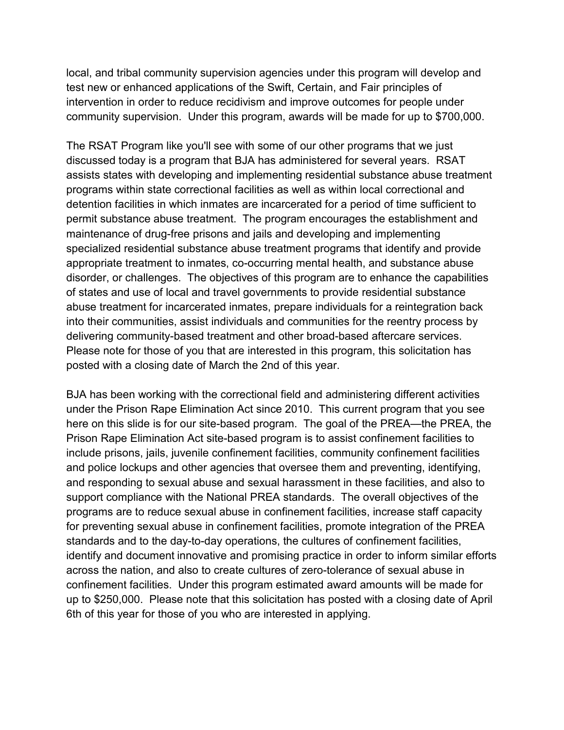local, and tribal community supervision agencies under this program will develop and test new or enhanced applications of the Swift, Certain, and Fair principles of intervention in order to reduce recidivism and improve outcomes for people under community supervision. Under this program, awards will be made for up to \$700,000.

The RSAT Program like you'll see with some of our other programs that we just discussed today is a program that BJA has administered for several years. RSAT assists states with developing and implementing residential substance abuse treatment programs within state correctional facilities as well as within local correctional and detention facilities in which inmates are incarcerated for a period of time sufficient to permit substance abuse treatment. The program encourages the establishment and maintenance of drug-free prisons and jails and developing and implementing specialized residential substance abuse treatment programs that identify and provide appropriate treatment to inmates, co-occurring mental health, and substance abuse disorder, or challenges. The objectives of this program are to enhance the capabilities of states and use of local and travel governments to provide residential substance abuse treatment for incarcerated inmates, prepare individuals for a reintegration back into their communities, assist individuals and communities for the reentry process by delivering community-based treatment and other broad-based aftercare services. Please note for those of you that are interested in this program, this solicitation has posted with a closing date of March the 2nd of this year.

BJA has been working with the correctional field and administering different activities under the Prison Rape Elimination Act since 2010. This current program that you see here on this slide is for our site-based program. The goal of the PREA—the PREA, the Prison Rape Elimination Act site-based program is to assist confinement facilities to include prisons, jails, juvenile confinement facilities, community confinement facilities and police lockups and other agencies that oversee them and preventing, identifying, and responding to sexual abuse and sexual harassment in these facilities, and also to support compliance with the National PREA standards. The overall objectives of the programs are to reduce sexual abuse in confinement facilities, increase staff capacity for preventing sexual abuse in confinement facilities, promote integration of the PREA standards and to the day-to-day operations, the cultures of confinement facilities, identify and document innovative and promising practice in order to inform similar efforts across the nation, and also to create cultures of zero-tolerance of sexual abuse in confinement facilities. Under this program estimated award amounts will be made for up to \$250,000. Please note that this solicitation has posted with a closing date of April 6th of this year for those of you who are interested in applying.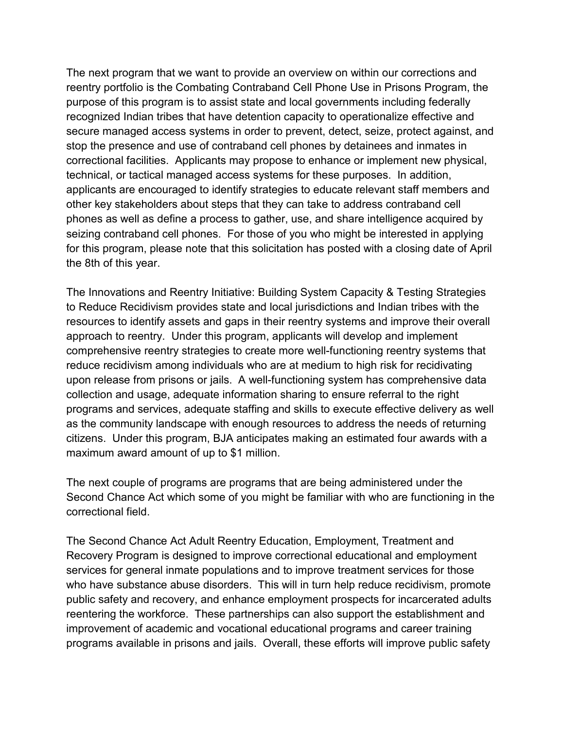The next program that we want to provide an overview on within our corrections and reentry portfolio is the Combating Contraband Cell Phone Use in Prisons Program, the purpose of this program is to assist state and local governments including federally recognized Indian tribes that have detention capacity to operationalize effective and secure managed access systems in order to prevent, detect, seize, protect against, and stop the presence and use of contraband cell phones by detainees and inmates in correctional facilities. Applicants may propose to enhance or implement new physical, technical, or tactical managed access systems for these purposes. In addition, applicants are encouraged to identify strategies to educate relevant staff members and other key stakeholders about steps that they can take to address contraband cell phones as well as define a process to gather, use, and share intelligence acquired by seizing contraband cell phones. For those of you who might be interested in applying for this program, please note that this solicitation has posted with a closing date of April the 8th of this year.

The Innovations and Reentry Initiative: Building System Capacity & Testing Strategies to Reduce Recidivism provides state and local jurisdictions and Indian tribes with the resources to identify assets and gaps in their reentry systems and improve their overall approach to reentry. Under this program, applicants will develop and implement comprehensive reentry strategies to create more well-functioning reentry systems that reduce recidivism among individuals who are at medium to high risk for recidivating upon release from prisons or jails. A well-functioning system has comprehensive data collection and usage, adequate information sharing to ensure referral to the right programs and services, adequate staffing and skills to execute effective delivery as well as the community landscape with enough resources to address the needs of returning citizens. Under this program, BJA anticipates making an estimated four awards with a maximum award amount of up to \$1 million.

The next couple of programs are programs that are being administered under the Second Chance Act which some of you might be familiar with who are functioning in the correctional field.

The Second Chance Act Adult Reentry Education, Employment, Treatment and Recovery Program is designed to improve correctional educational and employment services for general inmate populations and to improve treatment services for those who have substance abuse disorders. This will in turn help reduce recidivism, promote public safety and recovery, and enhance employment prospects for incarcerated adults reentering the workforce. These partnerships can also support the establishment and improvement of academic and vocational educational programs and career training programs available in prisons and jails. Overall, these efforts will improve public safety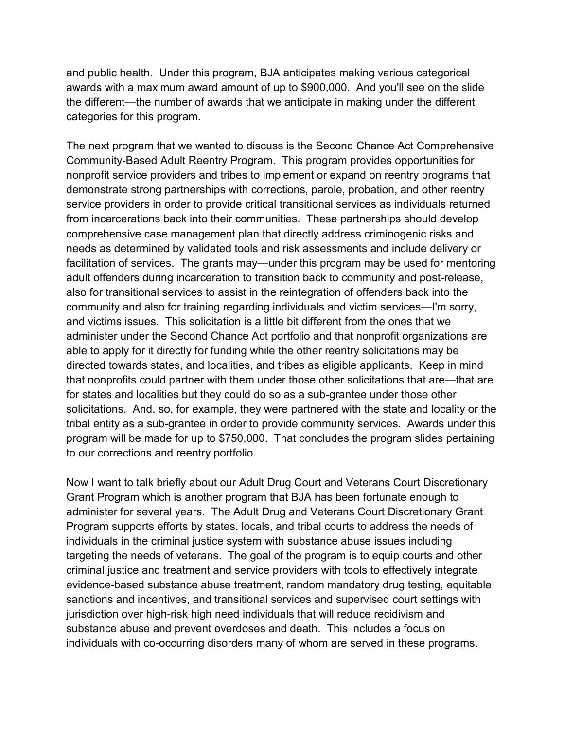and public health. Under this program, BJA anticipates making various categorical awards with a maximum award amount of up to \$900,000. And you'll see on the slide the different—the number of awards that we anticipate in making under the different categories for this program.

The next program that we wanted to discuss is the Second Chance Act Comprehensive Community-Based Adult Reentry Program. This program provides opportunities for nonprofit service providers and tribes to implement or expand on reentry programs that demonstrate strong partnerships with corrections, parole, probation, and other reentry service providers in order to provide critical transitional services as individuals returned from incarcerations back into their communities. These partnerships should develop comprehensive case management plan that directly address criminogenic risks and needs as determined by validated tools and risk assessments and include delivery or facilitation of services. The grants may—under this program may be used for mentoring adult offenders during incarceration to transition back to community and post-release, also for transitional services to assist in the reintegration of offenders back into the community and also for training regarding individuals and victim services—I'm sorry, and victims issues. This solicitation is a little bit different from the ones that we administer under the Second Chance Act portfolio and that nonprofit organizations are able to apply for it directly for funding while the other reentry solicitations may be directed towards states, and localities, and tribes as eligible applicants. Keep in mind that nonprofits could partner with them under those other solicitations that are—that are for states and localities but they could do so as a sub-grantee under those other solicitations. And, so, for example, they were partnered with the state and locality or the tribal entity as a sub-grantee in order to provide community services. Awards under this program will be made for up to \$750,000. That concludes the program slides pertaining to our corrections and reentry portfolio.

Now I want to talk briefly about our Adult Drug Court and Veterans Court Discretionary Grant Program which is another program that BJA has been fortunate enough to administer for several years. The Adult Drug and Veterans Court Discretionary Grant Program supports efforts by states, locals, and tribal courts to address the needs of individuals in the criminal justice system with substance abuse issues including targeting the needs of veterans. The goal of the program is to equip courts and other criminal justice and treatment and service providers with tools to effectively integrate evidence-based substance abuse treatment, random mandatory drug testing, equitable sanctions and incentives, and transitional services and supervised court settings with jurisdiction over high-risk high need individuals that will reduce recidivism and substance abuse and prevent overdoses and death. This includes a focus on individuals with co-occurring disorders many of whom are served in these programs.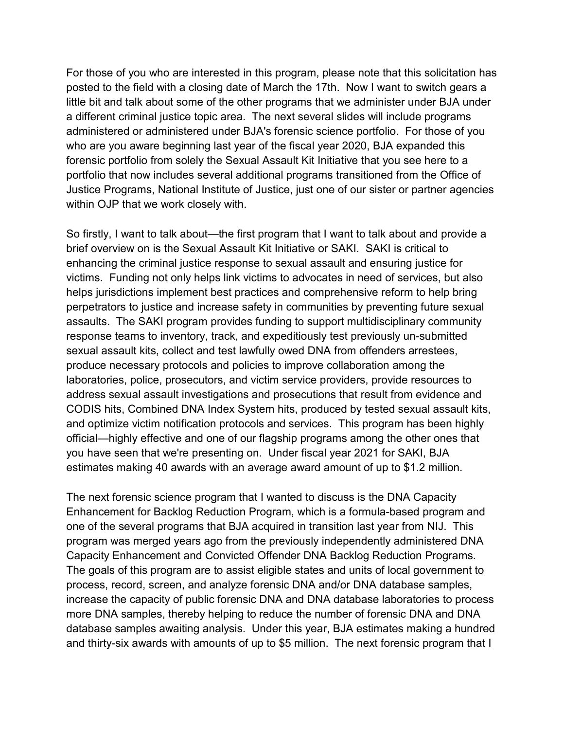For those of you who are interested in this program, please note that this solicitation has posted to the field with a closing date of March the 17th. Now I want to switch gears a little bit and talk about some of the other programs that we administer under BJA under a different criminal justice topic area. The next several slides will include programs administered or administered under BJA's forensic science portfolio. For those of you who are you aware beginning last year of the fiscal year 2020, BJA expanded this forensic portfolio from solely the Sexual Assault Kit Initiative that you see here to a portfolio that now includes several additional programs transitioned from the Office of Justice Programs, National Institute of Justice, just one of our sister or partner agencies within OJP that we work closely with.

So firstly, I want to talk about—the first program that I want to talk about and provide a brief overview on is the Sexual Assault Kit Initiative or SAKI. SAKI is critical to enhancing the criminal justice response to sexual assault and ensuring justice for victims. Funding not only helps link victims to advocates in need of services, but also helps jurisdictions implement best practices and comprehensive reform to help bring perpetrators to justice and increase safety in communities by preventing future sexual assaults. The SAKI program provides funding to support multidisciplinary community response teams to inventory, track, and expeditiously test previously un-submitted sexual assault kits, collect and test lawfully owed DNA from offenders arrestees, produce necessary protocols and policies to improve collaboration among the laboratories, police, prosecutors, and victim service providers, provide resources to address sexual assault investigations and prosecutions that result from evidence and CODIS hits, Combined DNA Index System hits, produced by tested sexual assault kits, and optimize victim notification protocols and services. This program has been highly official—highly effective and one of our flagship programs among the other ones that you have seen that we're presenting on. Under fiscal year 2021 for SAKI, BJA estimates making 40 awards with an average award amount of up to \$1.2 million.

The next forensic science program that I wanted to discuss is the DNA Capacity Enhancement for Backlog Reduction Program, which is a formula-based program and one of the several programs that BJA acquired in transition last year from NIJ. This program was merged years ago from the previously independently administered DNA Capacity Enhancement and Convicted Offender DNA Backlog Reduction Programs. The goals of this program are to assist eligible states and units of local government to process, record, screen, and analyze forensic DNA and/or DNA database samples, increase the capacity of public forensic DNA and DNA database laboratories to process more DNA samples, thereby helping to reduce the number of forensic DNA and DNA database samples awaiting analysis. Under this year, BJA estimates making a hundred and thirty-six awards with amounts of up to \$5 million. The next forensic program that I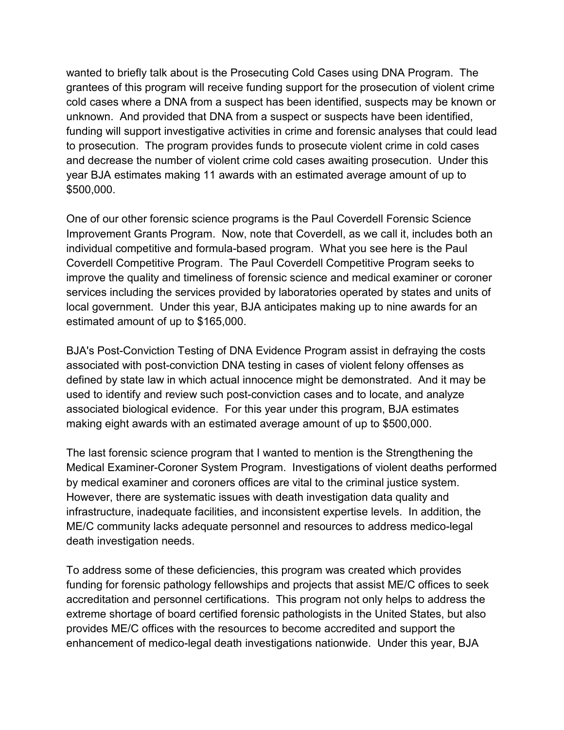wanted to briefly talk about is the Prosecuting Cold Cases using DNA Program. The grantees of this program will receive funding support for the prosecution of violent crime cold cases where a DNA from a suspect has been identified, suspects may be known or unknown. And provided that DNA from a suspect or suspects have been identified, funding will support investigative activities in crime and forensic analyses that could lead to prosecution. The program provides funds to prosecute violent crime in cold cases and decrease the number of violent crime cold cases awaiting prosecution. Under this year BJA estimates making 11 awards with an estimated average amount of up to \$500,000.

One of our other forensic science programs is the Paul Coverdell Forensic Science Improvement Grants Program. Now, note that Coverdell, as we call it, includes both an individual competitive and formula-based program. What you see here is the Paul Coverdell Competitive Program. The Paul Coverdell Competitive Program seeks to improve the quality and timeliness of forensic science and medical examiner or coroner services including the services provided by laboratories operated by states and units of local government. Under this year, BJA anticipates making up to nine awards for an estimated amount of up to \$165,000.

BJA's Post-Conviction Testing of DNA Evidence Program assist in defraying the costs associated with post-conviction DNA testing in cases of violent felony offenses as defined by state law in which actual innocence might be demonstrated. And it may be used to identify and review such post-conviction cases and to locate, and analyze associated biological evidence. For this year under this program, BJA estimates making eight awards with an estimated average amount of up to \$500,000.

The last forensic science program that I wanted to mention is the Strengthening the Medical Examiner-Coroner System Program. Investigations of violent deaths performed by medical examiner and coroners offices are vital to the criminal justice system. However, there are systematic issues with death investigation data quality and infrastructure, inadequate facilities, and inconsistent expertise levels. In addition, the ME/C community lacks adequate personnel and resources to address medico-legal death investigation needs.

To address some of these deficiencies, this program was created which provides funding for forensic pathology fellowships and projects that assist ME/C offices to seek accreditation and personnel certifications. This program not only helps to address the extreme shortage of board certified forensic pathologists in the United States, but also provides ME/C offices with the resources to become accredited and support the enhancement of medico-legal death investigations nationwide. Under this year, BJA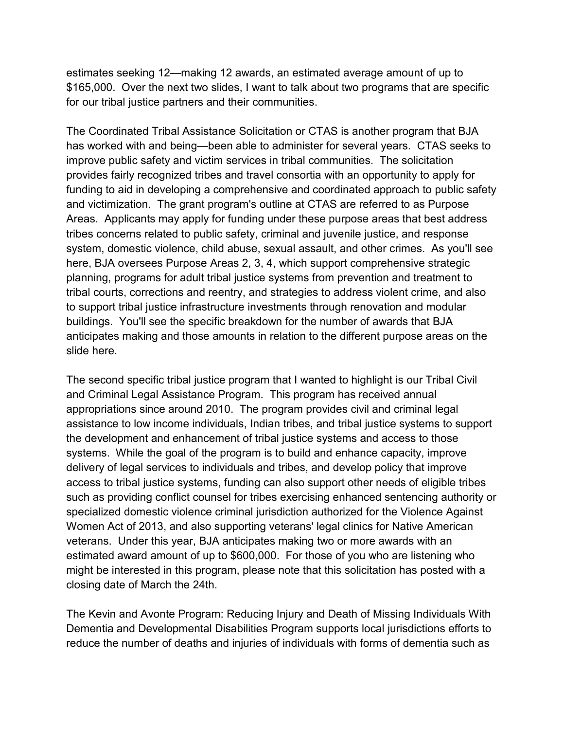estimates seeking 12—making 12 awards, an estimated average amount of up to \$165,000. Over the next two slides, I want to talk about two programs that are specific for our tribal justice partners and their communities.

The Coordinated Tribal Assistance Solicitation or CTAS is another program that BJA has worked with and being—been able to administer for several years. CTAS seeks to improve public safety and victim services in tribal communities. The solicitation provides fairly recognized tribes and travel consortia with an opportunity to apply for funding to aid in developing a comprehensive and coordinated approach to public safety and victimization. The grant program's outline at CTAS are referred to as Purpose Areas. Applicants may apply for funding under these purpose areas that best address tribes concerns related to public safety, criminal and juvenile justice, and response system, domestic violence, child abuse, sexual assault, and other crimes. As you'll see here, BJA oversees Purpose Areas 2, 3, 4, which support comprehensive strategic planning, programs for adult tribal justice systems from prevention and treatment to tribal courts, corrections and reentry, and strategies to address violent crime, and also to support tribal justice infrastructure investments through renovation and modular buildings. You'll see the specific breakdown for the number of awards that BJA anticipates making and those amounts in relation to the different purpose areas on the slide here.

The second specific tribal justice program that I wanted to highlight is our Tribal Civil and Criminal Legal Assistance Program. This program has received annual appropriations since around 2010. The program provides civil and criminal legal assistance to low income individuals, Indian tribes, and tribal justice systems to support the development and enhancement of tribal justice systems and access to those systems. While the goal of the program is to build and enhance capacity, improve delivery of legal services to individuals and tribes, and develop policy that improve access to tribal justice systems, funding can also support other needs of eligible tribes such as providing conflict counsel for tribes exercising enhanced sentencing authority or specialized domestic violence criminal jurisdiction authorized for the Violence Against Women Act of 2013, and also supporting veterans' legal clinics for Native American veterans. Under this year, BJA anticipates making two or more awards with an estimated award amount of up to \$600,000. For those of you who are listening who might be interested in this program, please note that this solicitation has posted with a closing date of March the 24th.

The Kevin and Avonte Program: Reducing Injury and Death of Missing Individuals With Dementia and Developmental Disabilities Program supports local jurisdictions efforts to reduce the number of deaths and injuries of individuals with forms of dementia such as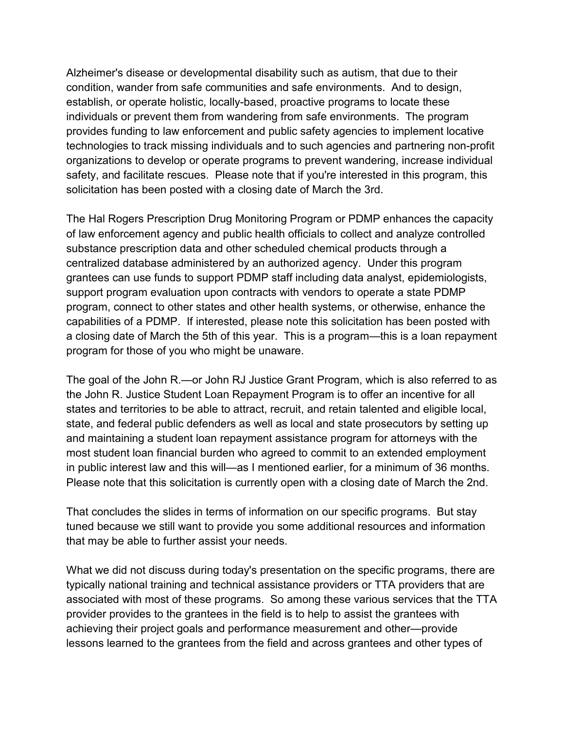Alzheimer's disease or developmental disability such as autism, that due to their condition, wander from safe communities and safe environments. And to design, establish, or operate holistic, locally-based, proactive programs to locate these individuals or prevent them from wandering from safe environments. The program provides funding to law enforcement and public safety agencies to implement locative technologies to track missing individuals and to such agencies and partnering non-profit organizations to develop or operate programs to prevent wandering, increase individual safety, and facilitate rescues. Please note that if you're interested in this program, this solicitation has been posted with a closing date of March the 3rd.

The Hal Rogers Prescription Drug Monitoring Program or PDMP enhances the capacity of law enforcement agency and public health officials to collect and analyze controlled substance prescription data and other scheduled chemical products through a centralized database administered by an authorized agency. Under this program grantees can use funds to support PDMP staff including data analyst, epidemiologists, support program evaluation upon contracts with vendors to operate a state PDMP program, connect to other states and other health systems, or otherwise, enhance the capabilities of a PDMP. If interested, please note this solicitation has been posted with a closing date of March the 5th of this year. This is a program—this is a loan repayment program for those of you who might be unaware.

The goal of the John R.—or John RJ Justice Grant Program, which is also referred to as the John R. Justice Student Loan Repayment Program is to offer an incentive for all states and territories to be able to attract, recruit, and retain talented and eligible local, state, and federal public defenders as well as local and state prosecutors by setting up and maintaining a student loan repayment assistance program for attorneys with the most student loan financial burden who agreed to commit to an extended employment in public interest law and this will—as I mentioned earlier, for a minimum of 36 months. Please note that this solicitation is currently open with a closing date of March the 2nd.

That concludes the slides in terms of information on our specific programs. But stay tuned because we still want to provide you some additional resources and information that may be able to further assist your needs.

What we did not discuss during today's presentation on the specific programs, there are typically national training and technical assistance providers or TTA providers that are associated with most of these programs. So among these various services that the TTA provider provides to the grantees in the field is to help to assist the grantees with achieving their project goals and performance measurement and other—provide lessons learned to the grantees from the field and across grantees and other types of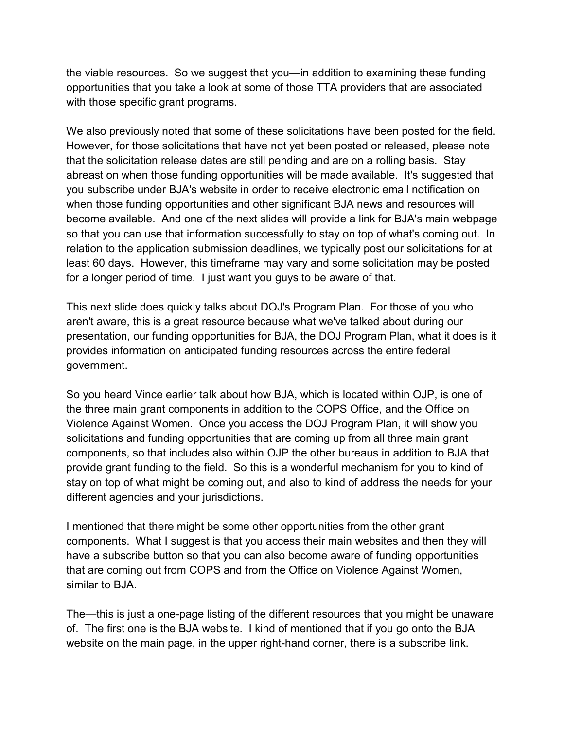the viable resources. So we suggest that you—in addition to examining these funding opportunities that you take a look at some of those TTA providers that are associated with those specific grant programs.

We also previously noted that some of these solicitations have been posted for the field. However, for those solicitations that have not yet been posted or released, please note that the solicitation release dates are still pending and are on a rolling basis. Stay abreast on when those funding opportunities will be made available. It's suggested that you subscribe under BJA's website in order to receive electronic email notification on when those funding opportunities and other significant BJA news and resources will become available. And one of the next slides will provide a link for BJA's main webpage so that you can use that information successfully to stay on top of what's coming out. In relation to the application submission deadlines, we typically post our solicitations for at least 60 days. However, this timeframe may vary and some solicitation may be posted for a longer period of time. I just want you guys to be aware of that.

This next slide does quickly talks about DOJ's Program Plan. For those of you who aren't aware, this is a great resource because what we've talked about during our presentation, our funding opportunities for BJA, the DOJ Program Plan, what it does is it provides information on anticipated funding resources across the entire federal government.

So you heard Vince earlier talk about how BJA, which is located within OJP, is one of the three main grant components in addition to the COPS Office, and the Office on Violence Against Women. Once you access the DOJ Program Plan, it will show you solicitations and funding opportunities that are coming up from all three main grant components, so that includes also within OJP the other bureaus in addition to BJA that provide grant funding to the field. So this is a wonderful mechanism for you to kind of stay on top of what might be coming out, and also to kind of address the needs for your different agencies and your jurisdictions.

I mentioned that there might be some other opportunities from the other grant components. What I suggest is that you access their main websites and then they will have a subscribe button so that you can also become aware of funding opportunities that are coming out from COPS and from the Office on Violence Against Women, similar to BJA.

The—this is just a one-page listing of the different resources that you might be unaware of. The first one is the BJA website. I kind of mentioned that if you go onto the BJA website on the main page, in the upper right-hand corner, there is a subscribe link.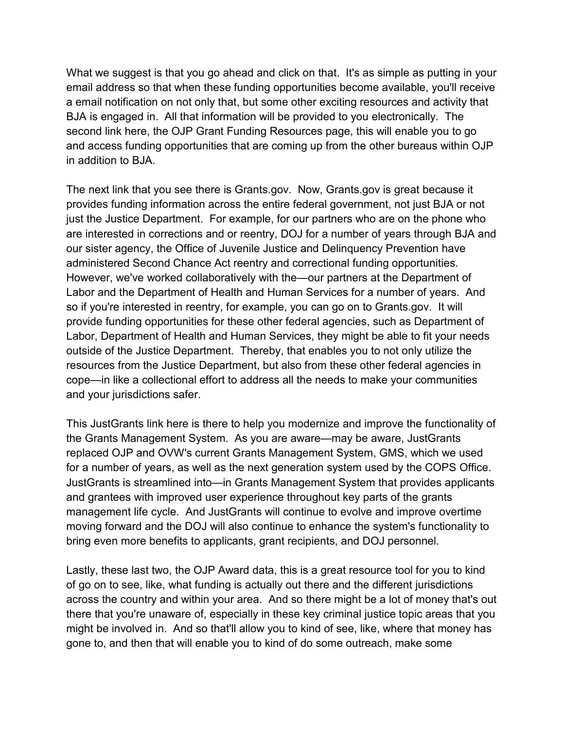What we suggest is that you go ahead and click on that. It's as simple as putting in your email address so that when these funding opportunities become available, you'll receive a email notification on not only that, but some other exciting resources and activity that BJA is engaged in. All that information will be provided to you electronically. The second link here, the OJP Grant Funding Resources page, this will enable you to go and access funding opportunities that are coming up from the other bureaus within OJP in addition to BJA.

The next link that you see there is Grants.gov. Now, Grants.gov is great because it provides funding information across the entire federal government, not just BJA or not just the Justice Department. For example, for our partners who are on the phone who are interested in corrections and or reentry, DOJ for a number of years through BJA and our sister agency, the Office of Juvenile Justice and Delinquency Prevention have administered Second Chance Act reentry and correctional funding opportunities. However, we've worked collaboratively with the—our partners at the Department of Labor and the Department of Health and Human Services for a number of years. And so if you're interested in reentry, for example, you can go on to Grants.gov. It will provide funding opportunities for these other federal agencies, such as Department of Labor, Department of Health and Human Services, they might be able to fit your needs outside of the Justice Department. Thereby, that enables you to not only utilize the resources from the Justice Department, but also from these other federal agencies in cope—in like a collectional effort to address all the needs to make your communities and your jurisdictions safer.

This JustGrants link here is there to help you modernize and improve the functionality of the Grants Management System. As you are aware—may be aware, JustGrants replaced OJP and OVW's current Grants Management System, GMS, which we used for a number of years, as well as the next generation system used by the COPS Office. JustGrants is streamlined into—in Grants Management System that provides applicants and grantees with improved user experience throughout key parts of the grants management life cycle. And JustGrants will continue to evolve and improve overtime moving forward and the DOJ will also continue to enhance the system's functionality to bring even more benefits to applicants, grant recipients, and DOJ personnel.

Lastly, these last two, the OJP Award data, this is a great resource tool for you to kind of go on to see, like, what funding is actually out there and the different jurisdictions across the country and within your area. And so there might be a lot of money that's out there that you're unaware of, especially in these key criminal justice topic areas that you might be involved in. And so that'll allow you to kind of see, like, where that money has gone to, and then that will enable you to kind of do some outreach, make some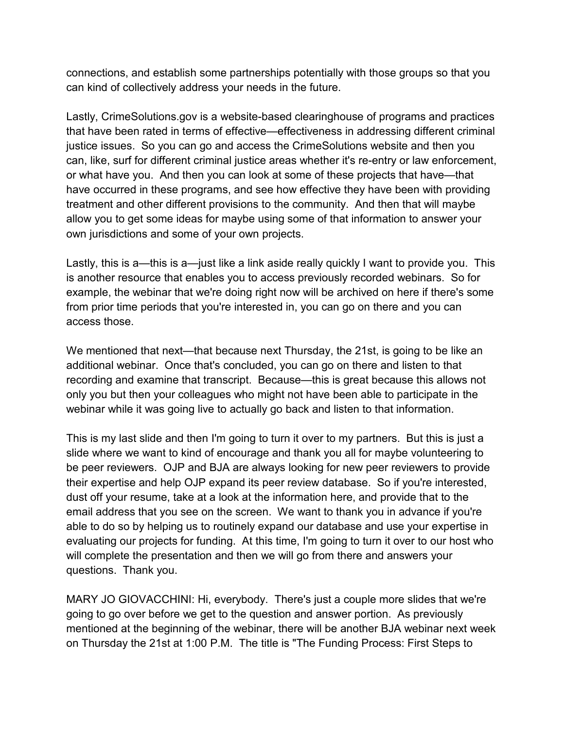connections, and establish some partnerships potentially with those groups so that you can kind of collectively address your needs in the future.

Lastly, CrimeSolutions.gov is a website-based clearinghouse of programs and practices that have been rated in terms of effective—effectiveness in addressing different criminal justice issues. So you can go and access the CrimeSolutions website and then you can, like, surf for different criminal justice areas whether it's re-entry or law enforcement, or what have you. And then you can look at some of these projects that have—that have occurred in these programs, and see how effective they have been with providing treatment and other different provisions to the community. And then that will maybe allow you to get some ideas for maybe using some of that information to answer your own jurisdictions and some of your own projects.

Lastly, this is a—this is a—just like a link aside really quickly I want to provide you. This is another resource that enables you to access previously recorded webinars. So for example, the webinar that we're doing right now will be archived on here if there's some from prior time periods that you're interested in, you can go on there and you can access those.

We mentioned that next—that because next Thursday, the 21st, is going to be like an additional webinar. Once that's concluded, you can go on there and listen to that recording and examine that transcript. Because—this is great because this allows not only you but then your colleagues who might not have been able to participate in the webinar while it was going live to actually go back and listen to that information.

This is my last slide and then I'm going to turn it over to my partners. But this is just a slide where we want to kind of encourage and thank you all for maybe volunteering to be peer reviewers. OJP and BJA are always looking for new peer reviewers to provide their expertise and help OJP expand its peer review database. So if you're interested, dust off your resume, take at a look at the information here, and provide that to the email address that you see on the screen. We want to thank you in advance if you're able to do so by helping us to routinely expand our database and use your expertise in evaluating our projects for funding. At this time, I'm going to turn it over to our host who will complete the presentation and then we will go from there and answers your questions. Thank you.

MARY JO GIOVACCHINI: Hi, everybody. There's just a couple more slides that we're going to go over before we get to the question and answer portion. As previously mentioned at the beginning of the webinar, there will be another BJA webinar next week on Thursday the 21st at 1:00 P.M. The title is "The Funding Process: First Steps to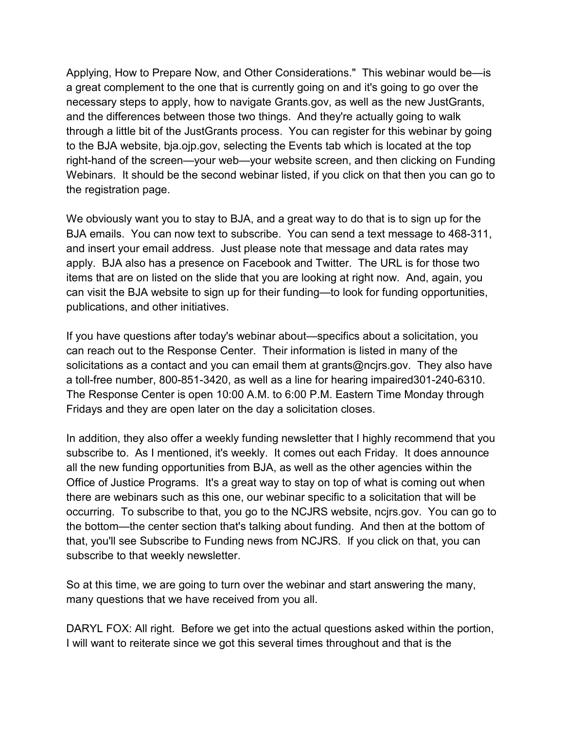Applying, How to Prepare Now, and Other Considerations." This webinar would be—is a great complement to the one that is currently going on and it's going to go over the necessary steps to apply, how to navigate Grants.gov, as well as the new JustGrants, and the differences between those two things. And they're actually going to walk through a little bit of the JustGrants process. You can register for this webinar by going to the BJA website, bja.ojp.gov, selecting the Events tab which is located at the top right-hand of the screen—your web—your website screen, and then clicking on Funding Webinars. It should be the second webinar listed, if you click on that then you can go to the registration page.

We obviously want you to stay to BJA, and a great way to do that is to sign up for the BJA emails. You can now text to subscribe. You can send a text message to 468-311, and insert your email address. Just please note that message and data rates may apply. BJA also has a presence on Facebook and Twitter. The URL is for those two items that are on listed on the slide that you are looking at right now. And, again, you can visit the BJA website to sign up for their funding—to look for funding opportunities, publications, and other initiatives.

If you have questions after today's webinar about—specifics about a solicitation, you can reach out to the Response Center. Their information is listed in many of the solicitations as a contact and you can email them at grants@ncjrs.gov. They also have a toll-free number, 800-851-3420, as well as a line for hearing impaired301-240-6310. The Response Center is open 10:00 A.M. to 6:00 P.M. Eastern Time Monday through Fridays and they are open later on the day a solicitation closes.

In addition, they also offer a weekly funding newsletter that I highly recommend that you subscribe to. As I mentioned, it's weekly. It comes out each Friday. It does announce all the new funding opportunities from BJA, as well as the other agencies within the Office of Justice Programs. It's a great way to stay on top of what is coming out when there are webinars such as this one, our webinar specific to a solicitation that will be occurring. To subscribe to that, you go to the NCJRS website, ncjrs.gov. You can go to the bottom—the center section that's talking about funding. And then at the bottom of that, you'll see Subscribe to Funding news from NCJRS. If you click on that, you can subscribe to that weekly newsletter.

So at this time, we are going to turn over the webinar and start answering the many, many questions that we have received from you all.

DARYL FOX: All right. Before we get into the actual questions asked within the portion, I will want to reiterate since we got this several times throughout and that is the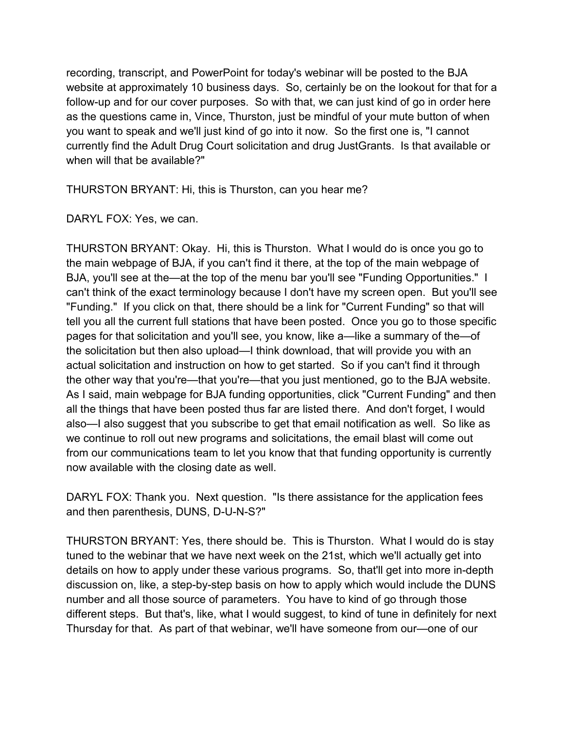recording, transcript, and PowerPoint for today's webinar will be posted to the BJA website at approximately 10 business days. So, certainly be on the lookout for that for a follow-up and for our cover purposes. So with that, we can just kind of go in order here as the questions came in, Vince, Thurston, just be mindful of your mute button of when you want to speak and we'll just kind of go into it now. So the first one is, "I cannot currently find the Adult Drug Court solicitation and drug JustGrants. Is that available or when will that be available?"

THURSTON BRYANT: Hi, this is Thurston, can you hear me?

DARYL FOX: Yes, we can.

THURSTON BRYANT: Okay. Hi, this is Thurston. What I would do is once you go to the main webpage of BJA, if you can't find it there, at the top of the main webpage of BJA, you'll see at the—at the top of the menu bar you'll see "Funding Opportunities." I can't think of the exact terminology because I don't have my screen open. But you'll see "Funding." If you click on that, there should be a link for "Current Funding" so that will tell you all the current full stations that have been posted. Once you go to those specific pages for that solicitation and you'll see, you know, like a—like a summary of the—of the solicitation but then also upload—I think download, that will provide you with an actual solicitation and instruction on how to get started. So if you can't find it through the other way that you're—that you're—that you just mentioned, go to the BJA website. As I said, main webpage for BJA funding opportunities, click "Current Funding" and then all the things that have been posted thus far are listed there. And don't forget, I would also—I also suggest that you subscribe to get that email notification as well. So like as we continue to roll out new programs and solicitations, the email blast will come out from our communications team to let you know that that funding opportunity is currently now available with the closing date as well.

DARYL FOX: Thank you. Next question. "Is there assistance for the application fees and then parenthesis, DUNS, D-U-N-S?"

THURSTON BRYANT: Yes, there should be. This is Thurston. What I would do is stay tuned to the webinar that we have next week on the 21st, which we'll actually get into details on how to apply under these various programs. So, that'll get into more in-depth discussion on, like, a step-by-step basis on how to apply which would include the DUNS number and all those source of parameters. You have to kind of go through those different steps. But that's, like, what I would suggest, to kind of tune in definitely for next Thursday for that. As part of that webinar, we'll have someone from our—one of our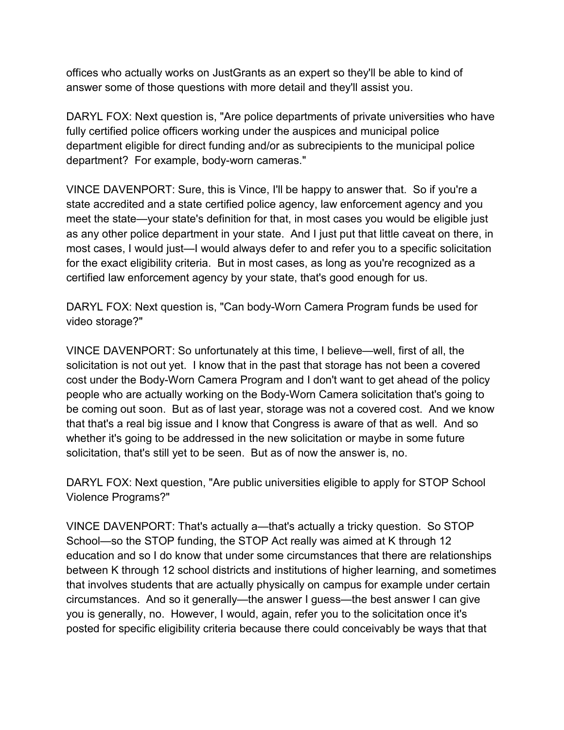offices who actually works on JustGrants as an expert so they'll be able to kind of answer some of those questions with more detail and they'll assist you.

DARYL FOX: Next question is, "Are police departments of private universities who have fully certified police officers working under the auspices and municipal police department eligible for direct funding and/or as subrecipients to the municipal police department? For example, body-worn cameras."

VINCE DAVENPORT: Sure, this is Vince, I'll be happy to answer that. So if you're a state accredited and a state certified police agency, law enforcement agency and you meet the state—your state's definition for that, in most cases you would be eligible just as any other police department in your state. And I just put that little caveat on there, in most cases, I would just—I would always defer to and refer you to a specific solicitation for the exact eligibility criteria. But in most cases, as long as you're recognized as a certified law enforcement agency by your state, that's good enough for us.

DARYL FOX: Next question is, "Can body-Worn Camera Program funds be used for video storage?"

VINCE DAVENPORT: So unfortunately at this time, I believe—well, first of all, the solicitation is not out yet. I know that in the past that storage has not been a covered cost under the Body-Worn Camera Program and I don't want to get ahead of the policy people who are actually working on the Body-Worn Camera solicitation that's going to be coming out soon. But as of last year, storage was not a covered cost. And we know that that's a real big issue and I know that Congress is aware of that as well. And so whether it's going to be addressed in the new solicitation or maybe in some future solicitation, that's still yet to be seen. But as of now the answer is, no.

DARYL FOX: Next question, "Are public universities eligible to apply for STOP School Violence Programs?"

VINCE DAVENPORT: That's actually a—that's actually a tricky question. So STOP School—so the STOP funding, the STOP Act really was aimed at K through 12 education and so I do know that under some circumstances that there are relationships between K through 12 school districts and institutions of higher learning, and sometimes that involves students that are actually physically on campus for example under certain circumstances. And so it generally—the answer I guess—the best answer I can give you is generally, no. However, I would, again, refer you to the solicitation once it's posted for specific eligibility criteria because there could conceivably be ways that that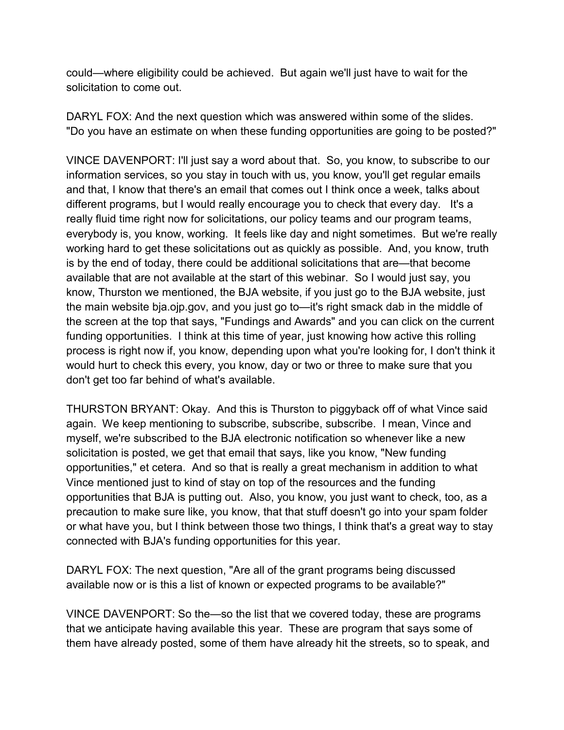could—where eligibility could be achieved. But again we'll just have to wait for the solicitation to come out.

DARYL FOX: And the next question which was answered within some of the slides. "Do you have an estimate on when these funding opportunities are going to be posted?"

VINCE DAVENPORT: I'll just say a word about that. So, you know, to subscribe to our information services, so you stay in touch with us, you know, you'll get regular emails and that, I know that there's an email that comes out I think once a week, talks about different programs, but I would really encourage you to check that every day. It's a really fluid time right now for solicitations, our policy teams and our program teams, everybody is, you know, working. It feels like day and night sometimes. But we're really working hard to get these solicitations out as quickly as possible. And, you know, truth is by the end of today, there could be additional solicitations that are—that become available that are not available at the start of this webinar. So I would just say, you know, Thurston we mentioned, the BJA website, if you just go to the BJA website, just the main website bja.ojp.gov, and you just go to—it's right smack dab in the middle of the screen at the top that says, "Fundings and Awards" and you can click on the current funding opportunities. I think at this time of year, just knowing how active this rolling process is right now if, you know, depending upon what you're looking for, I don't think it would hurt to check this every, you know, day or two or three to make sure that you don't get too far behind of what's available.

THURSTON BRYANT: Okay. And this is Thurston to piggyback off of what Vince said again. We keep mentioning to subscribe, subscribe, subscribe. I mean, Vince and myself, we're subscribed to the BJA electronic notification so whenever like a new solicitation is posted, we get that email that says, like you know, "New funding opportunities," et cetera. And so that is really a great mechanism in addition to what Vince mentioned just to kind of stay on top of the resources and the funding opportunities that BJA is putting out. Also, you know, you just want to check, too, as a precaution to make sure like, you know, that that stuff doesn't go into your spam folder or what have you, but I think between those two things, I think that's a great way to stay connected with BJA's funding opportunities for this year.

DARYL FOX: The next question, "Are all of the grant programs being discussed available now or is this a list of known or expected programs to be available?"

VINCE DAVENPORT: So the—so the list that we covered today, these are programs that we anticipate having available this year. These are program that says some of them have already posted, some of them have already hit the streets, so to speak, and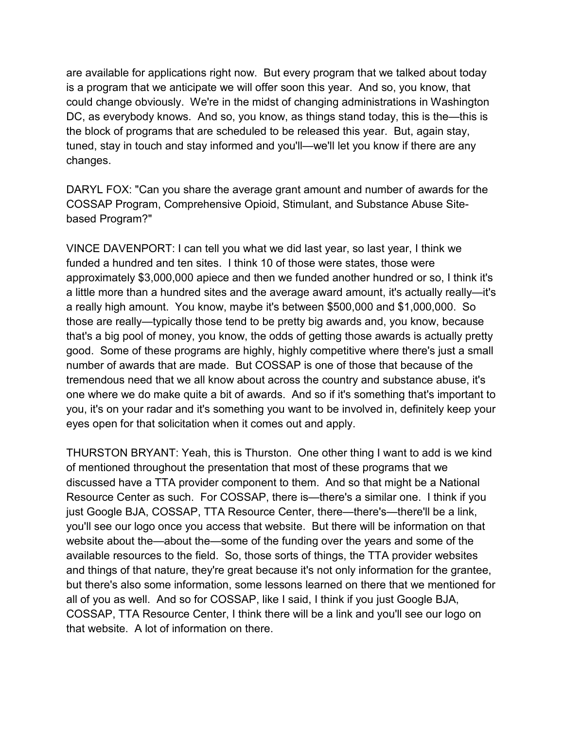are available for applications right now. But every program that we talked about today is a program that we anticipate we will offer soon this year. And so, you know, that could change obviously. We're in the midst of changing administrations in Washington DC, as everybody knows. And so, you know, as things stand today, this is the—this is the block of programs that are scheduled to be released this year. But, again stay, tuned, stay in touch and stay informed and you'll—we'll let you know if there are any changes.

DARYL FOX: "Can you share the average grant amount and number of awards for the COSSAP Program, Comprehensive Opioid, Stimulant, and Substance Abuse Sitebased Program?"

VINCE DAVENPORT: I can tell you what we did last year, so last year, I think we funded a hundred and ten sites. I think 10 of those were states, those were approximately \$3,000,000 apiece and then we funded another hundred or so, I think it's a little more than a hundred sites and the average award amount, it's actually really—it's a really high amount. You know, maybe it's between \$500,000 and \$1,000,000. So those are really—typically those tend to be pretty big awards and, you know, because that's a big pool of money, you know, the odds of getting those awards is actually pretty good. Some of these programs are highly, highly competitive where there's just a small number of awards that are made. But COSSAP is one of those that because of the tremendous need that we all know about across the country and substance abuse, it's one where we do make quite a bit of awards. And so if it's something that's important to you, it's on your radar and it's something you want to be involved in, definitely keep your eyes open for that solicitation when it comes out and apply.

THURSTON BRYANT: Yeah, this is Thurston. One other thing I want to add is we kind of mentioned throughout the presentation that most of these programs that we discussed have a TTA provider component to them. And so that might be a National Resource Center as such. For COSSAP, there is—there's a similar one. I think if you just Google BJA, COSSAP, TTA Resource Center, there—there's—there'll be a link, you'll see our logo once you access that website. But there will be information on that website about the—about the—some of the funding over the years and some of the available resources to the field. So, those sorts of things, the TTA provider websites and things of that nature, they're great because it's not only information for the grantee, but there's also some information, some lessons learned on there that we mentioned for all of you as well. And so for COSSAP, like I said, I think if you just Google BJA, COSSAP, TTA Resource Center, I think there will be a link and you'll see our logo on that website. A lot of information on there.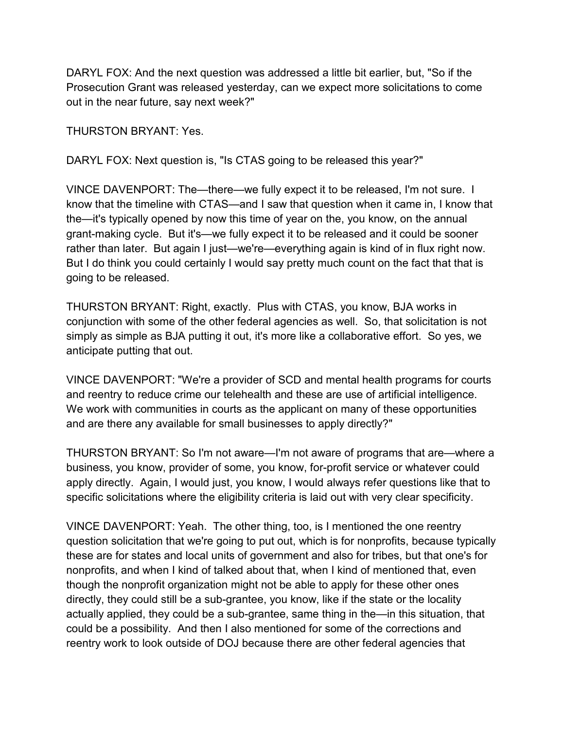DARYL FOX: And the next question was addressed a little bit earlier, but, "So if the Prosecution Grant was released yesterday, can we expect more solicitations to come out in the near future, say next week?"

THURSTON BRYANT: Yes.

DARYL FOX: Next question is, "Is CTAS going to be released this year?"

VINCE DAVENPORT: The—there—we fully expect it to be released, I'm not sure. I know that the timeline with CTAS—and I saw that question when it came in, I know that the—it's typically opened by now this time of year on the, you know, on the annual grant-making cycle. But it's—we fully expect it to be released and it could be sooner rather than later. But again I just—we're—everything again is kind of in flux right now. But I do think you could certainly I would say pretty much count on the fact that that is going to be released.

THURSTON BRYANT: Right, exactly. Plus with CTAS, you know, BJA works in conjunction with some of the other federal agencies as well. So, that solicitation is not simply as simple as BJA putting it out, it's more like a collaborative effort. So yes, we anticipate putting that out.

VINCE DAVENPORT: "We're a provider of SCD and mental health programs for courts and reentry to reduce crime our telehealth and these are use of artificial intelligence. We work with communities in courts as the applicant on many of these opportunities and are there any available for small businesses to apply directly?"

THURSTON BRYANT: So I'm not aware—I'm not aware of programs that are—where a business, you know, provider of some, you know, for-profit service or whatever could apply directly. Again, I would just, you know, I would always refer questions like that to specific solicitations where the eligibility criteria is laid out with very clear specificity.

VINCE DAVENPORT: Yeah. The other thing, too, is I mentioned the one reentry question solicitation that we're going to put out, which is for nonprofits, because typically these are for states and local units of government and also for tribes, but that one's for nonprofits, and when I kind of talked about that, when I kind of mentioned that, even though the nonprofit organization might not be able to apply for these other ones directly, they could still be a sub-grantee, you know, like if the state or the locality actually applied, they could be a sub-grantee, same thing in the—in this situation, that could be a possibility. And then I also mentioned for some of the corrections and reentry work to look outside of DOJ because there are other federal agencies that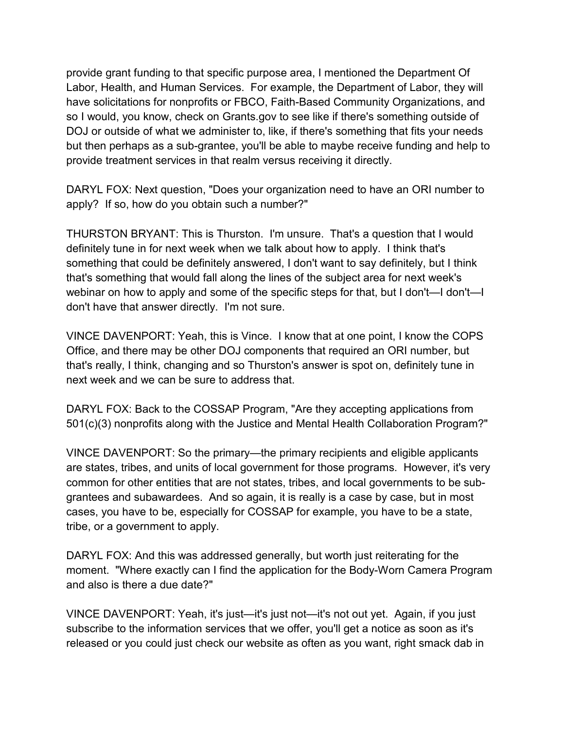provide grant funding to that specific purpose area, I mentioned the Department Of Labor, Health, and Human Services. For example, the Department of Labor, they will have solicitations for nonprofits or FBCO, Faith-Based Community Organizations, and so I would, you know, check on Grants.gov to see like if there's something outside of DOJ or outside of what we administer to, like, if there's something that fits your needs but then perhaps as a sub-grantee, you'll be able to maybe receive funding and help to provide treatment services in that realm versus receiving it directly.

DARYL FOX: Next question, "Does your organization need to have an ORI number to apply? If so, how do you obtain such a number?"

THURSTON BRYANT: This is Thurston. I'm unsure. That's a question that I would definitely tune in for next week when we talk about how to apply. I think that's something that could be definitely answered, I don't want to say definitely, but I think that's something that would fall along the lines of the subject area for next week's webinar on how to apply and some of the specific steps for that, but I don't—I don't—I don't have that answer directly. I'm not sure.

VINCE DAVENPORT: Yeah, this is Vince. I know that at one point, I know the COPS Office, and there may be other DOJ components that required an ORI number, but that's really, I think, changing and so Thurston's answer is spot on, definitely tune in next week and we can be sure to address that.

DARYL FOX: Back to the COSSAP Program, "Are they accepting applications from 501(c)(3) nonprofits along with the Justice and Mental Health Collaboration Program?"

VINCE DAVENPORT: So the primary—the primary recipients and eligible applicants are states, tribes, and units of local government for those programs. However, it's very common for other entities that are not states, tribes, and local governments to be subgrantees and subawardees. And so again, it is really is a case by case, but in most cases, you have to be, especially for COSSAP for example, you have to be a state, tribe, or a government to apply.

DARYL FOX: And this was addressed generally, but worth just reiterating for the moment. "Where exactly can I find the application for the Body-Worn Camera Program and also is there a due date?"

VINCE DAVENPORT: Yeah, it's just—it's just not—it's not out yet. Again, if you just subscribe to the information services that we offer, you'll get a notice as soon as it's released or you could just check our website as often as you want, right smack dab in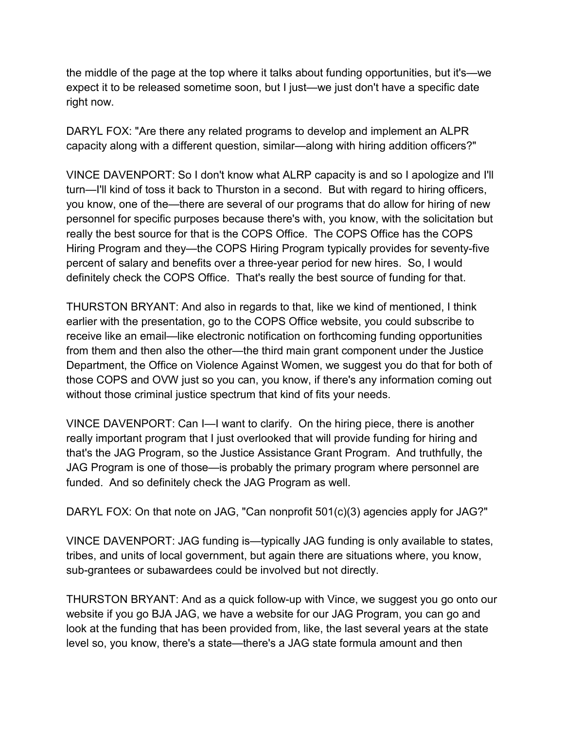the middle of the page at the top where it talks about funding opportunities, but it's—we expect it to be released sometime soon, but I just—we just don't have a specific date right now.

DARYL FOX: "Are there any related programs to develop and implement an ALPR capacity along with a different question, similar—along with hiring addition officers?"

VINCE DAVENPORT: So I don't know what ALRP capacity is and so I apologize and I'll turn—I'll kind of toss it back to Thurston in a second. But with regard to hiring officers, you know, one of the—there are several of our programs that do allow for hiring of new personnel for specific purposes because there's with, you know, with the solicitation but really the best source for that is the COPS Office. The COPS Office has the COPS Hiring Program and they—the COPS Hiring Program typically provides for seventy-five percent of salary and benefits over a three-year period for new hires. So, I would definitely check the COPS Office. That's really the best source of funding for that.

THURSTON BRYANT: And also in regards to that, like we kind of mentioned, I think earlier with the presentation, go to the COPS Office website, you could subscribe to receive like an email—like electronic notification on forthcoming funding opportunities from them and then also the other—the third main grant component under the Justice Department, the Office on Violence Against Women, we suggest you do that for both of those COPS and OVW just so you can, you know, if there's any information coming out without those criminal justice spectrum that kind of fits your needs.

VINCE DAVENPORT: Can I—I want to clarify. On the hiring piece, there is another really important program that I just overlooked that will provide funding for hiring and that's the JAG Program, so the Justice Assistance Grant Program. And truthfully, the JAG Program is one of those—is probably the primary program where personnel are funded. And so definitely check the JAG Program as well.

DARYL FOX: On that note on JAG, "Can nonprofit 501(c)(3) agencies apply for JAG?"

VINCE DAVENPORT: JAG funding is—typically JAG funding is only available to states, tribes, and units of local government, but again there are situations where, you know, sub-grantees or subawardees could be involved but not directly.

THURSTON BRYANT: And as a quick follow-up with Vince, we suggest you go onto our website if you go BJA JAG, we have a website for our JAG Program, you can go and look at the funding that has been provided from, like, the last several years at the state level so, you know, there's a state—there's a JAG state formula amount and then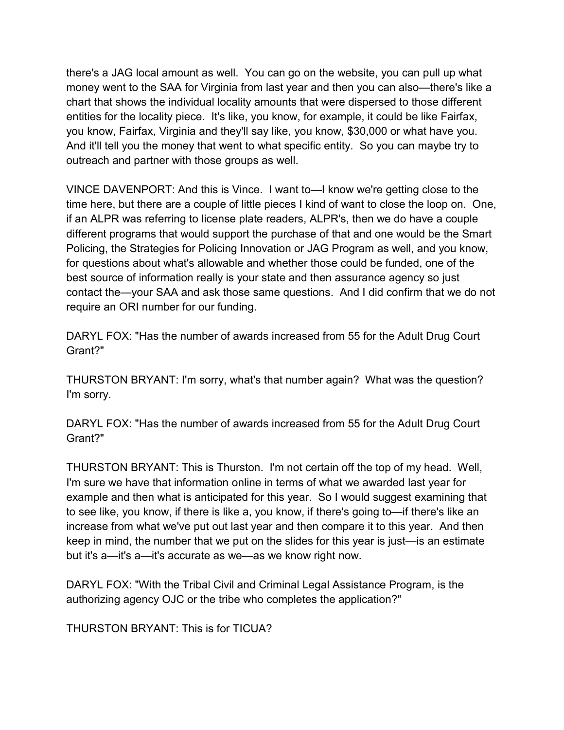there's a JAG local amount as well. You can go on the website, you can pull up what money went to the SAA for Virginia from last year and then you can also—there's like a chart that shows the individual locality amounts that were dispersed to those different entities for the locality piece. It's like, you know, for example, it could be like Fairfax, you know, Fairfax, Virginia and they'll say like, you know, \$30,000 or what have you. And it'll tell you the money that went to what specific entity. So you can maybe try to outreach and partner with those groups as well.

VINCE DAVENPORT: And this is Vince. I want to—I know we're getting close to the time here, but there are a couple of little pieces I kind of want to close the loop on. One, if an ALPR was referring to license plate readers, ALPR's, then we do have a couple different programs that would support the purchase of that and one would be the Smart Policing, the Strategies for Policing Innovation or JAG Program as well, and you know, for questions about what's allowable and whether those could be funded, one of the best source of information really is your state and then assurance agency so just contact the—your SAA and ask those same questions. And I did confirm that we do not require an ORI number for our funding.

DARYL FOX: "Has the number of awards increased from 55 for the Adult Drug Court Grant?"

THURSTON BRYANT: I'm sorry, what's that number again? What was the question? I'm sorry.

DARYL FOX: "Has the number of awards increased from 55 for the Adult Drug Court Grant?"

THURSTON BRYANT: This is Thurston. I'm not certain off the top of my head. Well, I'm sure we have that information online in terms of what we awarded last year for example and then what is anticipated for this year. So I would suggest examining that to see like, you know, if there is like a, you know, if there's going to—if there's like an increase from what we've put out last year and then compare it to this year. And then keep in mind, the number that we put on the slides for this year is just—is an estimate but it's a—it's a—it's accurate as we—as we know right now.

DARYL FOX: "With the Tribal Civil and Criminal Legal Assistance Program, is the authorizing agency OJC or the tribe who completes the application?"

THURSTON BRYANT: This is for TICUA?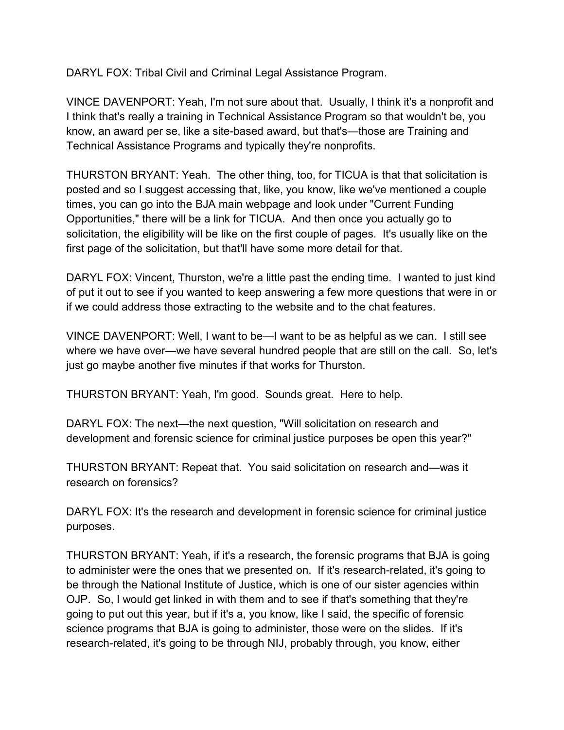DARYL FOX: Tribal Civil and Criminal Legal Assistance Program.

VINCE DAVENPORT: Yeah, I'm not sure about that. Usually, I think it's a nonprofit and I think that's really a training in Technical Assistance Program so that wouldn't be, you know, an award per se, like a site-based award, but that's—those are Training and Technical Assistance Programs and typically they're nonprofits.

THURSTON BRYANT: Yeah. The other thing, too, for TICUA is that that solicitation is posted and so I suggest accessing that, like, you know, like we've mentioned a couple times, you can go into the BJA main webpage and look under "Current Funding Opportunities," there will be a link for TICUA. And then once you actually go to solicitation, the eligibility will be like on the first couple of pages. It's usually like on the first page of the solicitation, but that'll have some more detail for that.

DARYL FOX: Vincent, Thurston, we're a little past the ending time. I wanted to just kind of put it out to see if you wanted to keep answering a few more questions that were in or if we could address those extracting to the website and to the chat features.

VINCE DAVENPORT: Well, I want to be—I want to be as helpful as we can. I still see where we have over—we have several hundred people that are still on the call. So, let's just go maybe another five minutes if that works for Thurston.

THURSTON BRYANT: Yeah, I'm good. Sounds great. Here to help.

DARYL FOX: The next—the next question, "Will solicitation on research and development and forensic science for criminal justice purposes be open this year?"

THURSTON BRYANT: Repeat that. You said solicitation on research and—was it research on forensics?

DARYL FOX: It's the research and development in forensic science for criminal justice purposes.

THURSTON BRYANT: Yeah, if it's a research, the forensic programs that BJA is going to administer were the ones that we presented on. If it's research-related, it's going to be through the National Institute of Justice, which is one of our sister agencies within OJP. So, I would get linked in with them and to see if that's something that they're going to put out this year, but if it's a, you know, like I said, the specific of forensic science programs that BJA is going to administer, those were on the slides. If it's research-related, it's going to be through NIJ, probably through, you know, either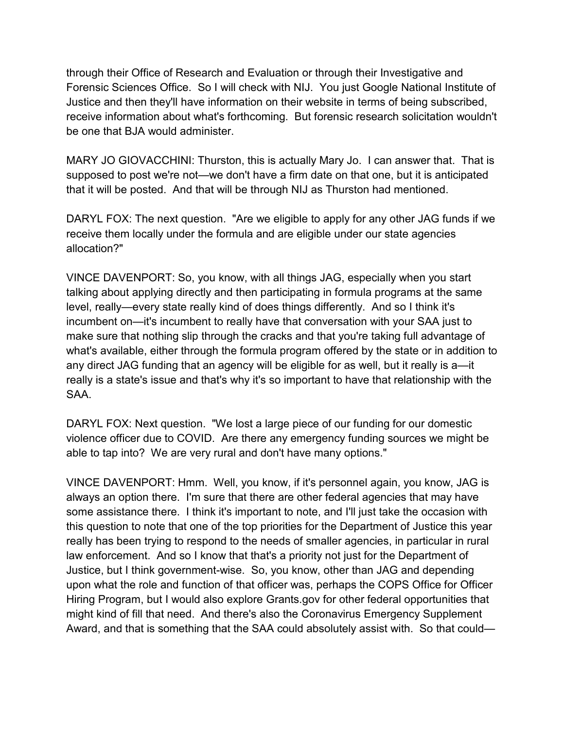through their Office of Research and Evaluation or through their Investigative and Forensic Sciences Office. So I will check with NIJ. You just Google National Institute of Justice and then they'll have information on their website in terms of being subscribed, receive information about what's forthcoming. But forensic research solicitation wouldn't be one that BJA would administer.

MARY JO GIOVACCHINI: Thurston, this is actually Mary Jo. I can answer that. That is supposed to post we're not—we don't have a firm date on that one, but it is anticipated that it will be posted. And that will be through NIJ as Thurston had mentioned.

DARYL FOX: The next question. "Are we eligible to apply for any other JAG funds if we receive them locally under the formula and are eligible under our state agencies allocation?"

VINCE DAVENPORT: So, you know, with all things JAG, especially when you start talking about applying directly and then participating in formula programs at the same level, really—every state really kind of does things differently. And so I think it's incumbent on—it's incumbent to really have that conversation with your SAA just to make sure that nothing slip through the cracks and that you're taking full advantage of what's available, either through the formula program offered by the state or in addition to any direct JAG funding that an agency will be eligible for as well, but it really is a—it really is a state's issue and that's why it's so important to have that relationship with the SAA.

DARYL FOX: Next question. "We lost a large piece of our funding for our domestic violence officer due to COVID. Are there any emergency funding sources we might be able to tap into? We are very rural and don't have many options."

VINCE DAVENPORT: Hmm. Well, you know, if it's personnel again, you know, JAG is always an option there. I'm sure that there are other federal agencies that may have some assistance there. I think it's important to note, and I'll just take the occasion with this question to note that one of the top priorities for the Department of Justice this year really has been trying to respond to the needs of smaller agencies, in particular in rural law enforcement. And so I know that that's a priority not just for the Department of Justice, but I think government-wise. So, you know, other than JAG and depending upon what the role and function of that officer was, perhaps the COPS Office for Officer Hiring Program, but I would also explore Grants.gov for other federal opportunities that might kind of fill that need. And there's also the Coronavirus Emergency Supplement Award, and that is something that the SAA could absolutely assist with. So that could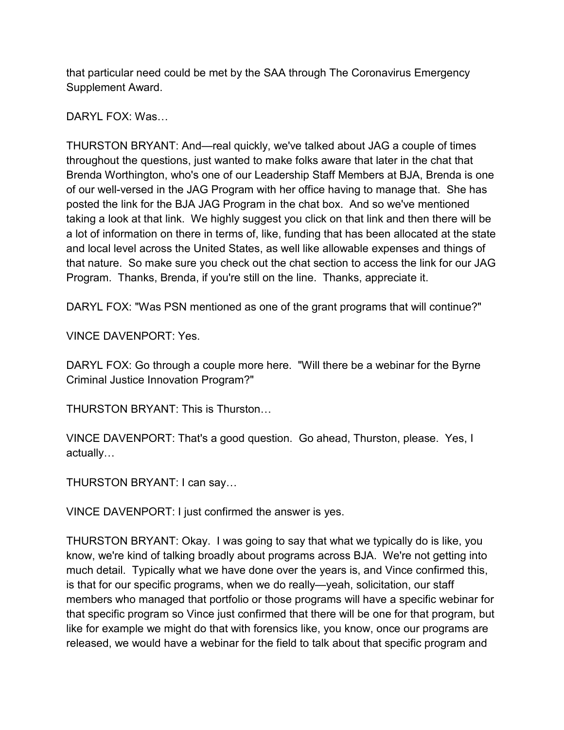that particular need could be met by the SAA through The Coronavirus Emergency Supplement Award.

DARYL FOX: Was…

THURSTON BRYANT: And—real quickly, we've talked about JAG a couple of times throughout the questions, just wanted to make folks aware that later in the chat that Brenda Worthington, who's one of our Leadership Staff Members at BJA, Brenda is one of our well-versed in the JAG Program with her office having to manage that. She has posted the link for the BJA JAG Program in the chat box. And so we've mentioned taking a look at that link. We highly suggest you click on that link and then there will be a lot of information on there in terms of, like, funding that has been allocated at the state and local level across the United States, as well like allowable expenses and things of that nature. So make sure you check out the chat section to access the link for our JAG Program. Thanks, Brenda, if you're still on the line. Thanks, appreciate it.

DARYL FOX: "Was PSN mentioned as one of the grant programs that will continue?"

VINCE DAVENPORT: Yes.

DARYL FOX: Go through a couple more here. "Will there be a webinar for the Byrne Criminal Justice Innovation Program?"

THURSTON BRYANT: This is Thurston…

VINCE DAVENPORT: That's a good question. Go ahead, Thurston, please. Yes, I actually…

THURSTON BRYANT: I can say…

VINCE DAVENPORT: I just confirmed the answer is yes.

THURSTON BRYANT: Okay. I was going to say that what we typically do is like, you know, we're kind of talking broadly about programs across BJA. We're not getting into much detail. Typically what we have done over the years is, and Vince confirmed this, is that for our specific programs, when we do really—yeah, solicitation, our staff members who managed that portfolio or those programs will have a specific webinar for that specific program so Vince just confirmed that there will be one for that program, but like for example we might do that with forensics like, you know, once our programs are released, we would have a webinar for the field to talk about that specific program and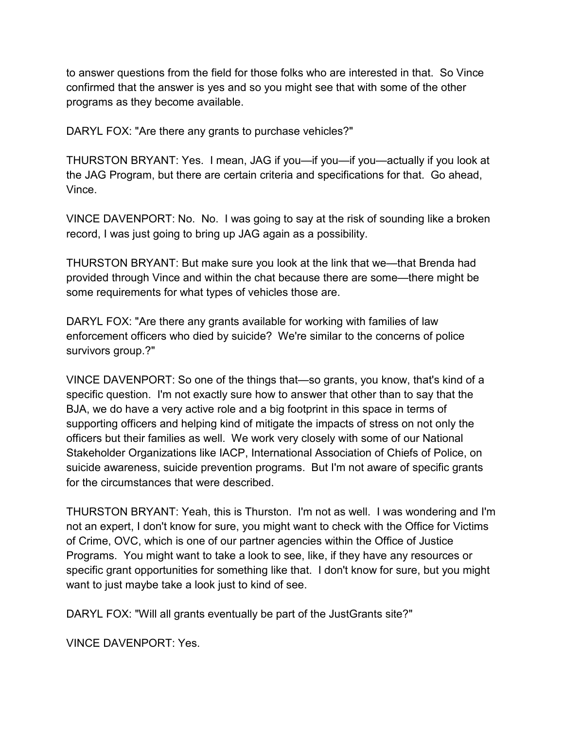to answer questions from the field for those folks who are interested in that. So Vince confirmed that the answer is yes and so you might see that with some of the other programs as they become available.

DARYL FOX: "Are there any grants to purchase vehicles?"

THURSTON BRYANT: Yes. I mean, JAG if you—if you—if you—actually if you look at the JAG Program, but there are certain criteria and specifications for that. Go ahead, Vince.

VINCE DAVENPORT: No. No. I was going to say at the risk of sounding like a broken record, I was just going to bring up JAG again as a possibility.

THURSTON BRYANT: But make sure you look at the link that we—that Brenda had provided through Vince and within the chat because there are some—there might be some requirements for what types of vehicles those are.

DARYL FOX: "Are there any grants available for working with families of law enforcement officers who died by suicide? We're similar to the concerns of police survivors group.?"

VINCE DAVENPORT: So one of the things that—so grants, you know, that's kind of a specific question. I'm not exactly sure how to answer that other than to say that the BJA, we do have a very active role and a big footprint in this space in terms of supporting officers and helping kind of mitigate the impacts of stress on not only the officers but their families as well. We work very closely with some of our National Stakeholder Organizations like IACP, International Association of Chiefs of Police, on suicide awareness, suicide prevention programs. But I'm not aware of specific grants for the circumstances that were described.

THURSTON BRYANT: Yeah, this is Thurston. I'm not as well. I was wondering and I'm not an expert, I don't know for sure, you might want to check with the Office for Victims of Crime, OVC, which is one of our partner agencies within the Office of Justice Programs. You might want to take a look to see, like, if they have any resources or specific grant opportunities for something like that. I don't know for sure, but you might want to just maybe take a look just to kind of see.

DARYL FOX: "Will all grants eventually be part of the JustGrants site?"

VINCE DAVENPORT: Yes.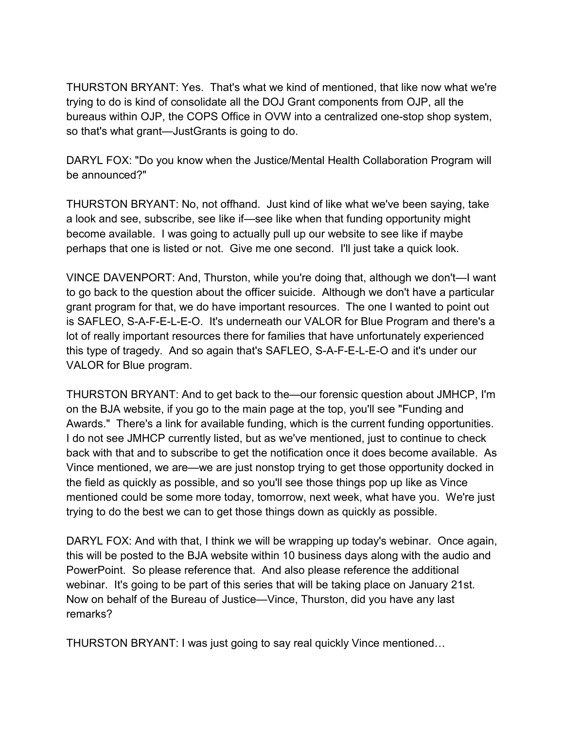THURSTON BRYANT: Yes. That's what we kind of mentioned, that like now what we're trying to do is kind of consolidate all the DOJ Grant components from OJP, all the bureaus within OJP, the COPS Office in OVW into a centralized one-stop shop system, so that's what grant—JustGrants is going to do.

DARYL FOX: "Do you know when the Justice/Mental Health Collaboration Program will be announced?"

THURSTON BRYANT: No, not offhand. Just kind of like what we've been saying, take a look and see, subscribe, see like if—see like when that funding opportunity might become available. I was going to actually pull up our website to see like if maybe perhaps that one is listed or not. Give me one second. I'll just take a quick look.

VINCE DAVENPORT: And, Thurston, while you're doing that, although we don't—I want to go back to the question about the officer suicide. Although we don't have a particular grant program for that, we do have important resources. The one I wanted to point out is SAFLEO, S-A-F-E-L-E-O. It's underneath our VALOR for Blue Program and there's a lot of really important resources there for families that have unfortunately experienced this type of tragedy. And so again that's SAFLEO, S-A-F-E-L-E-O and it's under our VALOR for Blue program.

THURSTON BRYANT: And to get back to the—our forensic question about JMHCP, I'm on the BJA website, if you go to the main page at the top, you'll see "Funding and Awards." There's a link for available funding, which is the current funding opportunities. I do not see JMHCP currently listed, but as we've mentioned, just to continue to check back with that and to subscribe to get the notification once it does become available. As Vince mentioned, we are—we are just nonstop trying to get those opportunity docked in the field as quickly as possible, and so you'll see those things pop up like as Vince mentioned could be some more today, tomorrow, next week, what have you. We're just trying to do the best we can to get those things down as quickly as possible.

DARYL FOX: And with that, I think we will be wrapping up today's webinar. Once again, this will be posted to the BJA website within 10 business days along with the audio and PowerPoint. So please reference that. And also please reference the additional webinar. It's going to be part of this series that will be taking place on January 21st. Now on behalf of the Bureau of Justice—Vince, Thurston, did you have any last remarks?

THURSTON BRYANT: I was just going to say real quickly Vince mentioned…